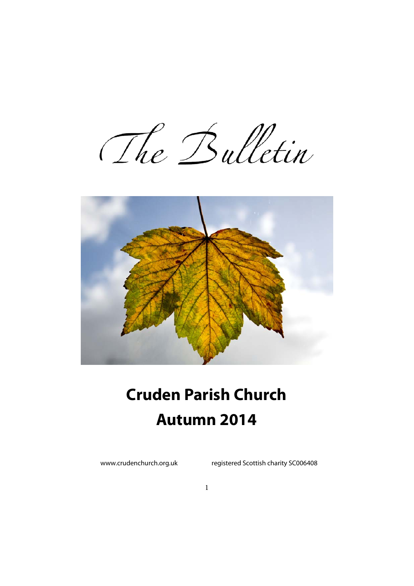The Bulletin



# **Cruden Parish Church Autumn 2014**

www.crudenchurch.org.uk registered Scottish charity SC006408

1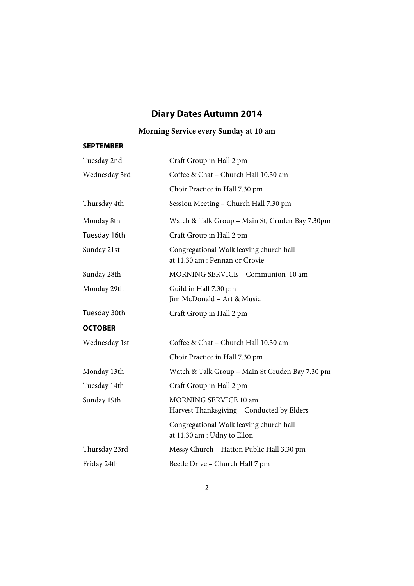# **Diary Dates Autumn 2014**

# **Morning Service every Sunday at 10 am**

#### **SEPTEMBER**

| Tuesday 2nd    | Craft Group in Hall 2 pm                                                  |  |  |
|----------------|---------------------------------------------------------------------------|--|--|
| Wednesday 3rd  | Coffee & Chat - Church Hall 10.30 am                                      |  |  |
|                | Choir Practice in Hall 7.30 pm                                            |  |  |
| Thursday 4th   | Session Meeting - Church Hall 7.30 pm                                     |  |  |
| Monday 8th     | Watch & Talk Group - Main St, Cruden Bay 7.30pm                           |  |  |
| Tuesday 16th   | Craft Group in Hall 2 pm                                                  |  |  |
| Sunday 21st    | Congregational Walk leaving church hall<br>at 11.30 am : Pennan or Crovie |  |  |
| Sunday 28th    | MORNING SERVICE - Communion 10 am                                         |  |  |
| Monday 29th    | Guild in Hall 7.30 pm<br>Jim McDonald - Art & Music                       |  |  |
| Tuesday 30th   | Craft Group in Hall 2 pm                                                  |  |  |
| <b>OCTOBER</b> |                                                                           |  |  |
| Wednesday 1st  | Coffee & Chat - Church Hall 10.30 am                                      |  |  |
|                | Choir Practice in Hall 7.30 pm                                            |  |  |
| Monday 13th    | Watch & Talk Group - Main St Cruden Bay 7.30 pm                           |  |  |
| Tuesday 14th   | Craft Group in Hall 2 pm                                                  |  |  |
| Sunday 19th    | MORNING SERVICE 10 am<br>Harvest Thanksgiving - Conducted by Elders       |  |  |
|                | Congregational Walk leaving church hall<br>at 11.30 am : Udny to Ellon    |  |  |
| Thursday 23rd  | Messy Church - Hatton Public Hall 3.30 pm                                 |  |  |
| Friday 24th    | Beetle Drive - Church Hall 7 pm                                           |  |  |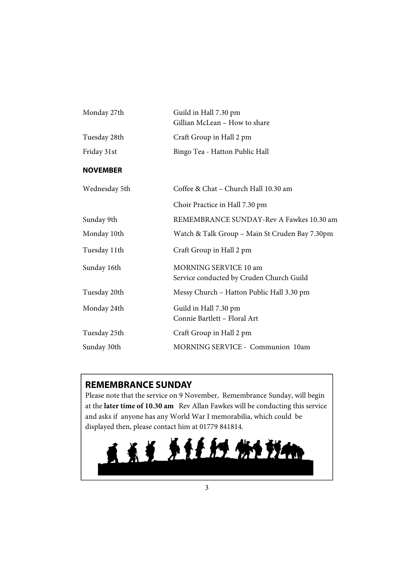| Monday 27th     | Guild in Hall 7.30 pm<br>Gillian McLean - How to share            |  |
|-----------------|-------------------------------------------------------------------|--|
| Tuesday 28th    | Craft Group in Hall 2 pm                                          |  |
| Friday 31st     | Bingo Tea - Hatton Public Hall                                    |  |
| <b>NOVEMBER</b> |                                                                   |  |
| Wednesday 5th   | Coffee & Chat - Church Hall 10.30 am                              |  |
|                 | Choir Practice in Hall 7.30 pm                                    |  |
| Sunday 9th      | REMEMBRANCE SUNDAY-Rev A Fawkes 10.30 am                          |  |
| Monday 10th     | Watch & Talk Group - Main St Cruden Bay 7.30pm                    |  |
| Tuesday 11th    | Craft Group in Hall 2 pm                                          |  |
| Sunday 16th     | MORNING SERVICE 10 am<br>Service conducted by Cruden Church Guild |  |
| Tuesday 20th    | Messy Church - Hatton Public Hall 3.30 pm                         |  |
| Monday 24th     | Guild in Hall 7.30 pm<br>Connie Bartlett - Floral Art             |  |
| Tuesday 25th    | Craft Group in Hall 2 pm                                          |  |
| Sunday 30th     | MORNING SERVICE - Communion 10am                                  |  |

# **REMEMBRANCE SUNDAY**

Please note that the service on 9 November, Remembrance Sunday, will begin at the **later time of 10.30 am** Rev Allan Fawkes will be conducting this service and asks if anyone has any World War I memorabilia, which could be displayed then, please contact him at 01779 841814.

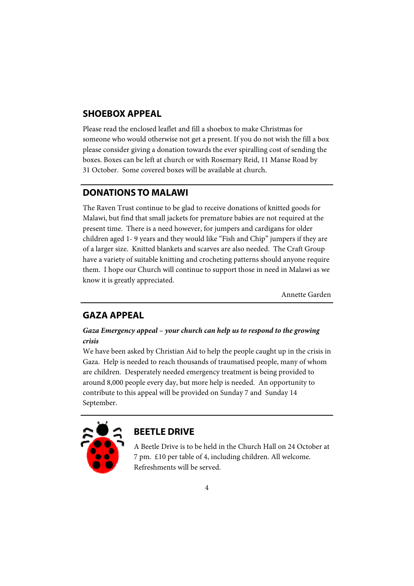## **SHOEBOX APPEAL**

Please read the enclosed leaflet and fill a shoebox to make Christmas for someone who would otherwise not get a present. If you do not wish the fill a box please consider giving a donation towards the ever spiralling cost of sending the boxes. Boxes can be left at church or with Rosemary Reid, 11 Manse Road by 31 October. Some covered boxes will be available at church.

#### **DONATIONS TO MALAWI**

The Raven Trust continue to be glad to receive donations of knitted goods for Malawi, but find that small jackets for premature babies are not required at the present time. There is a need however, for jumpers and cardigans for older children aged 1- 9 years and they would like "Fish and Chip" jumpers if they are of a larger size. Knitted blankets and scarves are also needed. The Craft Group have a variety of suitable knitting and crocheting patterns should anyone require them. I hope our Church will continue to support those in need in Malawi as we know it is greatly appreciated.

Annette Garden

#### **GAZA APPEAL**

#### *Gaza Emergency appeal – your church can help us to respond to the growing crisis*

We have been asked by Christian Aid to help the people caught up in the crisis in Gaza. Help is needed to reach thousands of traumatised people, many of whom are children. Desperately needed emergency treatment is being provided to around 8,000 people every day, but more help is needed. An opportunity to contribute to this appeal will be provided on Sunday 7 and Sunday 14 September.



### **BEETLE DRIVE**

A Beetle Drive is to be held in the Church Hall on 24 October at 7 pm. £10 per table of 4, including children. All welcome. Refreshments will be served.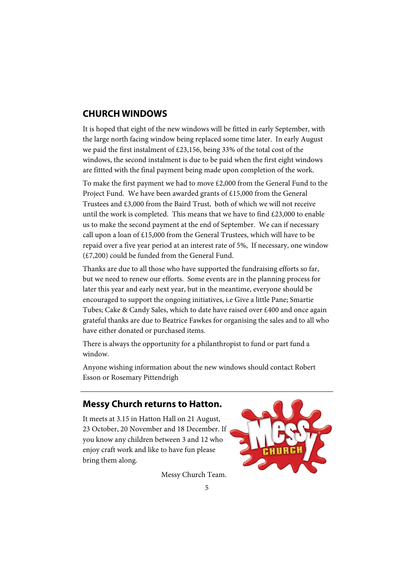# **CHURCH WINDOWS**

It is hoped that eight of the new windows will be fitted in early September, with the large north facing window being replaced some time later. In early August we paid the first instalment of £23,156, being 33% of the total cost of the windows, the second instalment is due to be paid when the first eight windows are fittted with the final payment being made upon completion of the work.

To make the first payment we had to move £2,000 from the General Fund to the Project Fund. We have been awarded grants of £15,000 from the General Trustees and £3,000 from the Baird Trust, both of which we will not receive until the work is completed. This means that we have to find £23,000 to enable us to make the second payment at the end of September. We can if necessary call upon a loan of £15,000 from the General Trustees, which will have to be repaid over a five year period at an interest rate of 5%, If necessary, one window (£7,200) could be funded from the General Fund.

Thanks are due to all those who have supported the fundraising efforts so far, but we need to renew our efforts. Some events are in the planning process for later this year and early next year, but in the meantime, everyone should be encouraged to support the ongoing initiatives, i.e Give a little Pane; Smartie Tubes; Cake & Candy Sales, which to date have raised over £400 and once again grateful thanks are due to Beatrice Fawkes for organising the sales and to all who have either donated or purchased items.

There is always the opportunity for a philanthropist to fund or part fund a window.

Anyone wishing information about the new windows should contact Robert Esson or Rosemary Pittendrigh

### **Messy Church returns to Hatton.**

It meets at 3.15 in Hatton Hall on 21 August, 23 October, 20 November and 18 December. If you know any children between 3 and 12 who enjoy craft work and like to have fun please bring them along.

Messy Church Team.

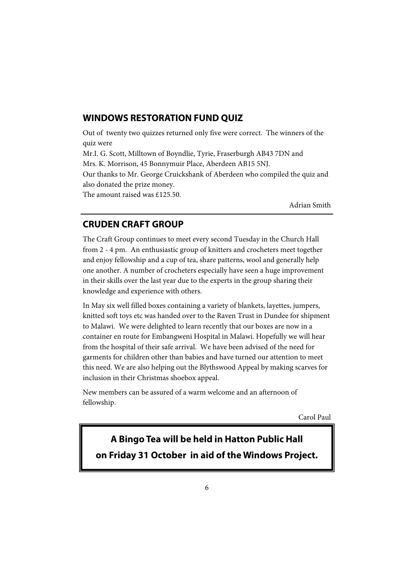#### **WINDOWS RESTORATION FUND QUIZ**

Out of twenty two quizzes returned only five were correct. The winners of the quiz were Mr.I. G. Scott, Milltown of Boyndlie, Tyrie, Fraserburgh AB43 7DN and Mrs. K. Morrison, 45 Bonnymuir Place, Aberdeen AB15 5NJ. Our thanks to Mr. George Cruickshank of Aberdeen who compiled the quiz and also donated the prize money. The amount raised was £125.50.

Adrian Smith

#### **CRUDEN CRAFT GROUP**

The Craft Group continues to meet every second Tuesday in the Church Hall from 2 - 4 pm. An enthusiastic group of knitters and crocheters meet together and enjoy fellowship and a cup of tea, share patterns, wool and generally help one another. A number of crocheters especially have seen a huge improvement in their skills over the last year due to the experts in the group sharing their knowledge and experience with others.

In May six well filled boxes containing a variety of blankets, layettes, jumpers, knitted soft toys etc was handed over to the Raven Trust in Dundee for shipment to Malawi. We were delighted to learn recently that our boxes are now in a container en route for Embangweni Hospital in Malawi. Hopefully we will hear from the hospital of their safe arrival. We have been advised of the need for garments for children other than babies and have turned our attention to meet this need. We are also helping out the Blythswood Appeal by making scarves for inclusion in their Christmas shoebox appeal.

New members can be assured of a warm welcome and an afternoon of fellowship.

Carol Paul

**A Bingo Tea will be held in Hatton Public Hall on Friday 31 October in aid of the Windows Project.**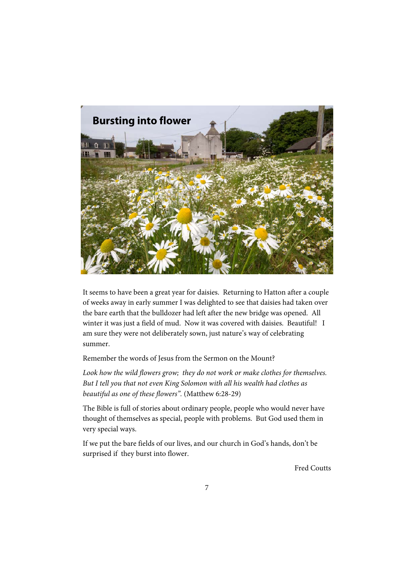

It seems to have been a great year for daisies. Returning to Hatton after a couple of weeks away in early summer I was delighted to see that daisies had taken over the bare earth that the bulldozer had left after the new bridge was opened. All winter it was just a field of mud. Now it was covered with daisies. Beautiful! I am sure they were not deliberately sown, just nature's way of celebrating summer.

Remember the words of Jesus from the Sermon on the Mount?

Look how the wild flowers grow; they do not work or make clothes for themselves. *But I tell you that not even King Solomon with all his wealth had clothes as beautiful as one of these flowers".* (Matthew 6:28-29)

The Bible is full of stories about ordinary people, people who would never have thought of themselves as special, people with problems. But God used them in very special ways.

If we put the bare fields of our lives, and our church in God's hands, don't be surprised if they burst into flower.

Fred Coutts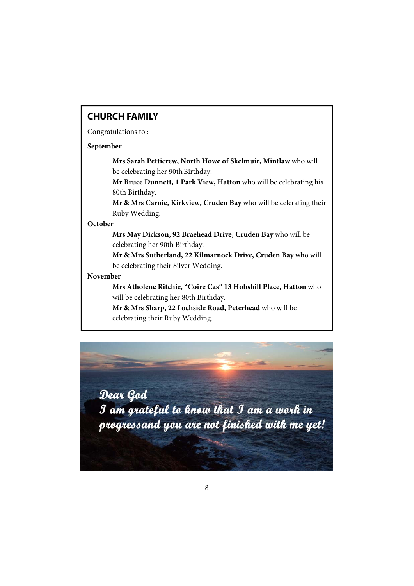## **CHURCH FAMILY**

Congratulations to :

#### **September**

**Mrs Sarah Petticrew, North Howe of Skelmuir, Mintlaw** who will be celebrating her 90th Birthday.

**Mr Bruce Dunnett, 1 Park View, Hatton** who will be celebrating his 80th Birthday.

**Mr & Mrs Carnie, Kirkview, Cruden Bay** who will be celerating their Ruby Wedding.

#### **October**

**Mrs May Dickson, 92 Braehead Drive, Cruden Bay** who will be celebrating her 90th Birthday.

**Mr & Mrs Sutherland, 22 Kilmarnock Drive, Cruden Bay** who will be celebrating their Silver Wedding.

#### **November**

**Mrs Atholene Ritchie, "Coire Cas" 13 Hobshill Place, Hatton** who will be celebrating her 80th Birthday.

**Mr & Mrs Sharp, 22 Lochside Road, Peterhead** who will be celebrating their Ruby Wedding.

Dear God I am grateful to know that I am a work in progressand you are not finished with me yet!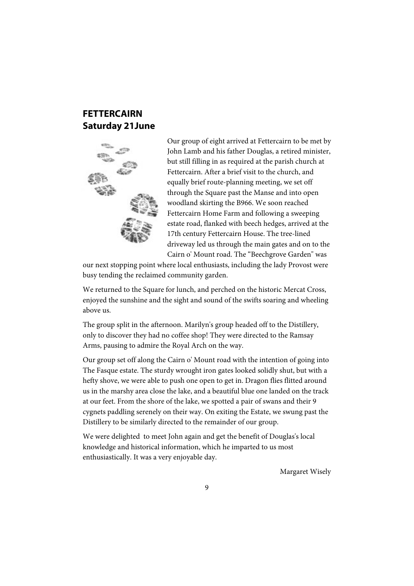## **FETTERCAIRN Saturday 21June**



Our group of eight arrived at Fettercairn to be met by John Lamb and his father Douglas, a retired minister, but still filling in as required at the parish church at Fettercairn. After a brief visit to the church, and equally brief route-planning meeting, we set off through the Square past the Manse and into open woodland skirting the B966. We soon reached Fettercairn Home Farm and following a sweeping estate road, flanked with beech hedges, arrived at the 17th century Fettercairn House. The tree-lined driveway led us through the main gates and on to the Cairn o' Mount road. The "Beechgrove Garden" was

our next stopping point where local enthusiasts, including the lady Provost were busy tending the reclaimed community garden.

We returned to the Square for lunch, and perched on the historic Mercat Cross, enjoyed the sunshine and the sight and sound of the swifts soaring and wheeling above us.

The group split in the afternoon. Marilyn's group headed off to the Distillery, only to discover they had no coffee shop! They were directed to the Ramsay Arms, pausing to admire the Royal Arch on the way.

Our group set off along the Cairn o' Mount road with the intention of going into The Fasque estate. The sturdy wrought iron gates looked solidly shut, but with a hefty shove, we were able to push one open to get in. Dragon flies flitted around us in the marshy area close the lake, and a beautiful blue one landed on the track at our feet. From the shore of the lake, we spotted a pair of swans and their 9 cygnets paddling serenely on their way. On exiting the Estate, we swung past the Distillery to be similarly directed to the remainder of our group.

We were delighted to meet John again and get the benefit of Douglas's local knowledge and historical information, which he imparted to us most enthusiastically. It was a very enjoyable day.

Margaret Wisely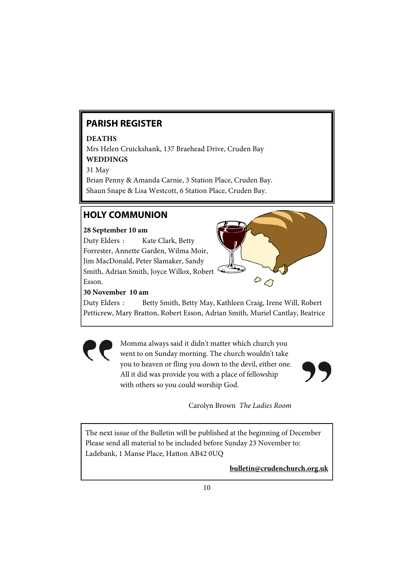# **PARISH REGISTER**

#### **DEATHS**

Mrs Helen Cruickshank, 137 Braehead Drive, Cruden Bay **WEDDINGS** 

31 May

Brian Penny & Amanda Carnie, 3 Station Place, Cruden Bay. Shaun Snape & Lisa Westcott, 6 Station Place, Cruden Bay.

# **HOLY COMMUNION**

#### **28 September 10 am**

Duty Elders : Kate Clark, Betty Forrester, Annette Garden, Wilma Moir, Jim MacDonald, Peter Slamaker, Sandy Smith, Adrian Smith, Joyce Willox, Robert Esson.



**30 November 10 am** 

Duty Elders : Betty Smith, Betty May, Kathleen Craig, Irene Will, Robert Petticrew, Mary Bratton, Robert Esson, Adrian Smith, Muriel Cantlay, Beatrice

> Momma always said it didn't matter which church you went to on Sunday morning. The church wouldn't take you to heaven or fling you down to the devil, either one. All it did was provide you with a place of fellowship with others so you could worship God.



Carolyn Brown *The Ladies Room* 

The next issue of the Bulletin will be published at the beginning of December Please send all material to be included before Sunday 23 November to: Ladebank, 1 Manse Place, Hatton AB42 0UQ

**bulletin@crudenchurch.org.uk**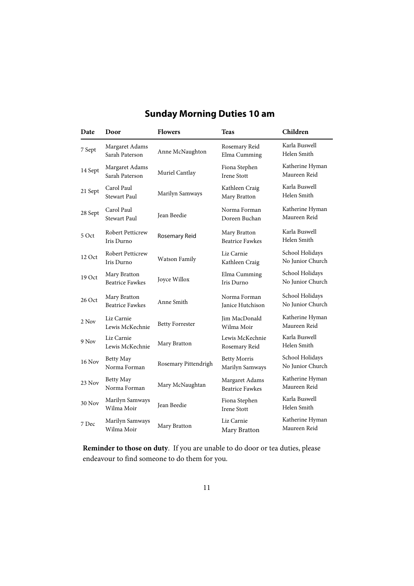| Date          | Door                                   | <b>Flowers</b>         | <b>Teas</b>                              | Children                            |
|---------------|----------------------------------------|------------------------|------------------------------------------|-------------------------------------|
| 7 Sept        | Margaret Adams<br>Sarah Paterson       | Anne McNaughton        | Rosemary Reid<br>Elma Cumming            | Karla Buswell<br>Helen Smith        |
| 14 Sept       | Margaret Adams<br>Sarah Paterson       | Muriel Cantlay         | Fiona Stephen<br><b>Irene Stott</b>      | Katherine Hyman<br>Maureen Reid     |
| 21 Sept       | Carol Paul<br>Stewart Paul             | Marilyn Samways        | Kathleen Craig<br>Mary Bratton           | Karla Buswell<br>Helen Smith        |
| 28 Sept       | Carol Paul<br><b>Stewart Paul</b>      | Jean Beedie            | Norma Forman<br>Doreen Buchan            | Katherine Hyman<br>Maureen Reid     |
| 5 Oct         | <b>Robert Petticrew</b><br>Iris Durno  | Rosemary Reid          | Mary Bratton<br><b>Beatrice Fawkes</b>   | Karla Buswell<br>Helen Smith        |
| 12 Oct        | <b>Robert Petticrew</b><br>Iris Durno  | Watson Family          | Liz Carnie<br>Kathleen Craig             | School Holidays<br>No Junior Church |
| 19 Oct        | Mary Bratton<br><b>Beatrice Fawkes</b> | Joyce Willox           | Elma Cumming<br>Iris Durno               | School Holidays<br>No Junior Church |
| 26 Oct        | Mary Bratton<br><b>Beatrice Fawkes</b> | Anne Smith             | Norma Forman<br>Janice Hutchison         | School Holidays<br>No Junior Church |
| 2 Nov         | Liz Carnie<br>Lewis McKechnie          | <b>Betty Forrester</b> | Jim MacDonald<br>Wilma Moir              | Katherine Hyman<br>Maureen Reid     |
| 9 Nov         | Liz Carnie<br>Lewis McKechnie          | Mary Bratton           | Lewis McKechnie<br>Rosemary Reid         | Karla Buswell<br>Helen Smith        |
| 16 Nov        | Betty May<br>Norma Forman              | Rosemary Pittendrigh   | <b>Betty Morris</b><br>Marilyn Samways   | School Holidays<br>No Junior Church |
| 23 Nov        | Betty May<br>Norma Forman              | Mary McNaughtan        | Margaret Adams<br><b>Beatrice Fawkes</b> | Katherine Hyman<br>Maureen Reid     |
| <b>30 Nov</b> | Marilyn Samways<br>Wilma Moir          | Jean Beedie            | Fiona Stephen<br><b>Irene Stott</b>      | Karla Buswell<br>Helen Smith        |
| 7 Dec         | Marilyn Samways<br>Wilma Moir          | Mary Bratton           | Liz Carnie<br>Mary Bratton               | Katherine Hyman<br>Maureen Reid     |

# **Sunday Morning Duties 10 am**

**Reminder to those on duty**. If you are unable to do door or tea duties, please endeavour to find someone to do them for you.